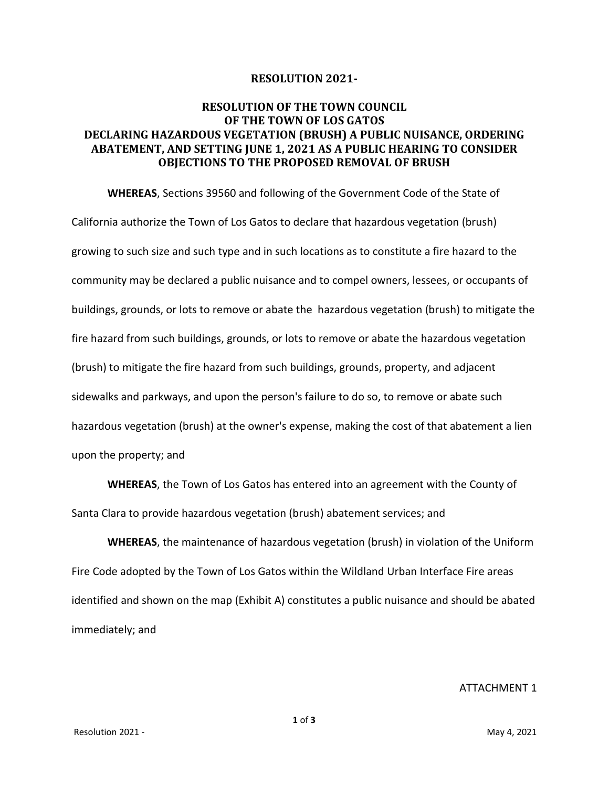## **RESOLUTION 2021-**

## **RESOLUTION OF THE TOWN COUNCIL OF THE TOWN OF LOS GATOS DECLARING HAZARDOUS VEGETATION (BRUSH) A PUBLIC NUISANCE, ORDERING ABATEMENT, AND SETTING JUNE 1, 2021 AS A PUBLIC HEARING TO CONSIDER OBJECTIONS TO THE PROPOSED REMOVAL OF BRUSH**

**WHEREAS**, Sections 39560 and following of the Government Code of the State of California authorize the Town of Los Gatos to declare that hazardous vegetation (brush) growing to such size and such type and in such locations as to constitute a fire hazard to the community may be declared a public nuisance and to compel owners, lessees, or occupants of buildings, grounds, or lots to remove or abate the hazardous vegetation (brush) to mitigate the fire hazard from such buildings, grounds, or lots to remove or abate the hazardous vegetation (brush) to mitigate the fire hazard from such buildings, grounds, property, and adjacent sidewalks and parkways, and upon the person's failure to do so, to remove or abate such hazardous vegetation (brush) at the owner's expense, making the cost of that abatement a lien upon the property; and

**WHEREAS**, the Town of Los Gatos has entered into an agreement with the County of Santa Clara to provide hazardous vegetation (brush) abatement services; and

**WHEREAS**, the maintenance of hazardous vegetation (brush) in violation of the Uniform Fire Code adopted by the Town of Los Gatos within the Wildland Urban Interface Fire areas identified and shown on the map (Exhibit A) constitutes a public nuisance and should be abated immediately; and

ATTACHMENT 1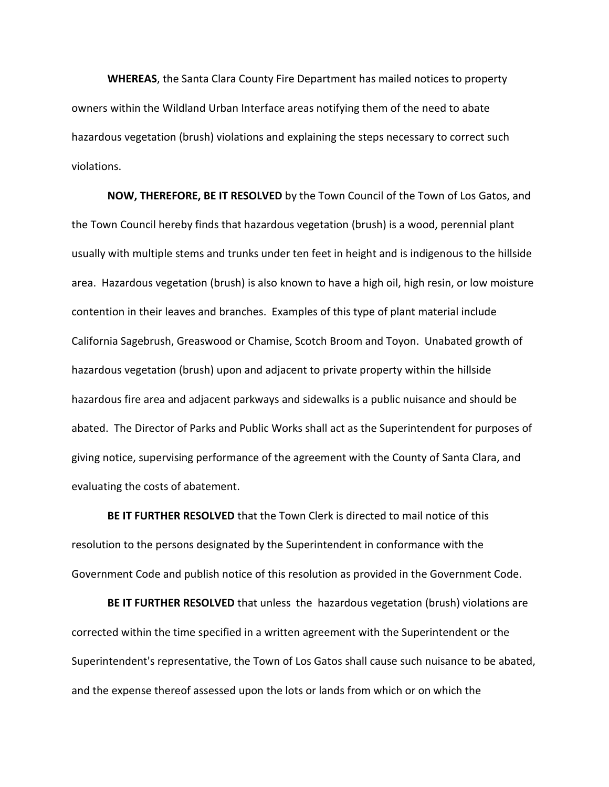**WHEREAS**, the Santa Clara County Fire Department has mailed notices to property owners within the Wildland Urban Interface areas notifying them of the need to abate hazardous vegetation (brush) violations and explaining the steps necessary to correct such violations.

**NOW, THEREFORE, BE IT RESOLVED** by the Town Council of the Town of Los Gatos, and the Town Council hereby finds that hazardous vegetation (brush) is a wood, perennial plant usually with multiple stems and trunks under ten feet in height and is indigenous to the hillside area. Hazardous vegetation (brush) is also known to have a high oil, high resin, or low moisture contention in their leaves and branches. Examples of this type of plant material include California Sagebrush, Greaswood or Chamise, Scotch Broom and Toyon. Unabated growth of hazardous vegetation (brush) upon and adjacent to private property within the hillside hazardous fire area and adjacent parkways and sidewalks is a public nuisance and should be abated. The Director of Parks and Public Works shall act as the Superintendent for purposes of giving notice, supervising performance of the agreement with the County of Santa Clara, and evaluating the costs of abatement.

**BE IT FURTHER RESOLVED** that the Town Clerk is directed to mail notice of this resolution to the persons designated by the Superintendent in conformance with the Government Code and publish notice of this resolution as provided in the Government Code.

**BE IT FURTHER RESOLVED** that unless the hazardous vegetation (brush) violations are corrected within the time specified in a written agreement with the Superintendent or the Superintendent's representative, the Town of Los Gatos shall cause such nuisance to be abated, and the expense thereof assessed upon the lots or lands from which or on which the